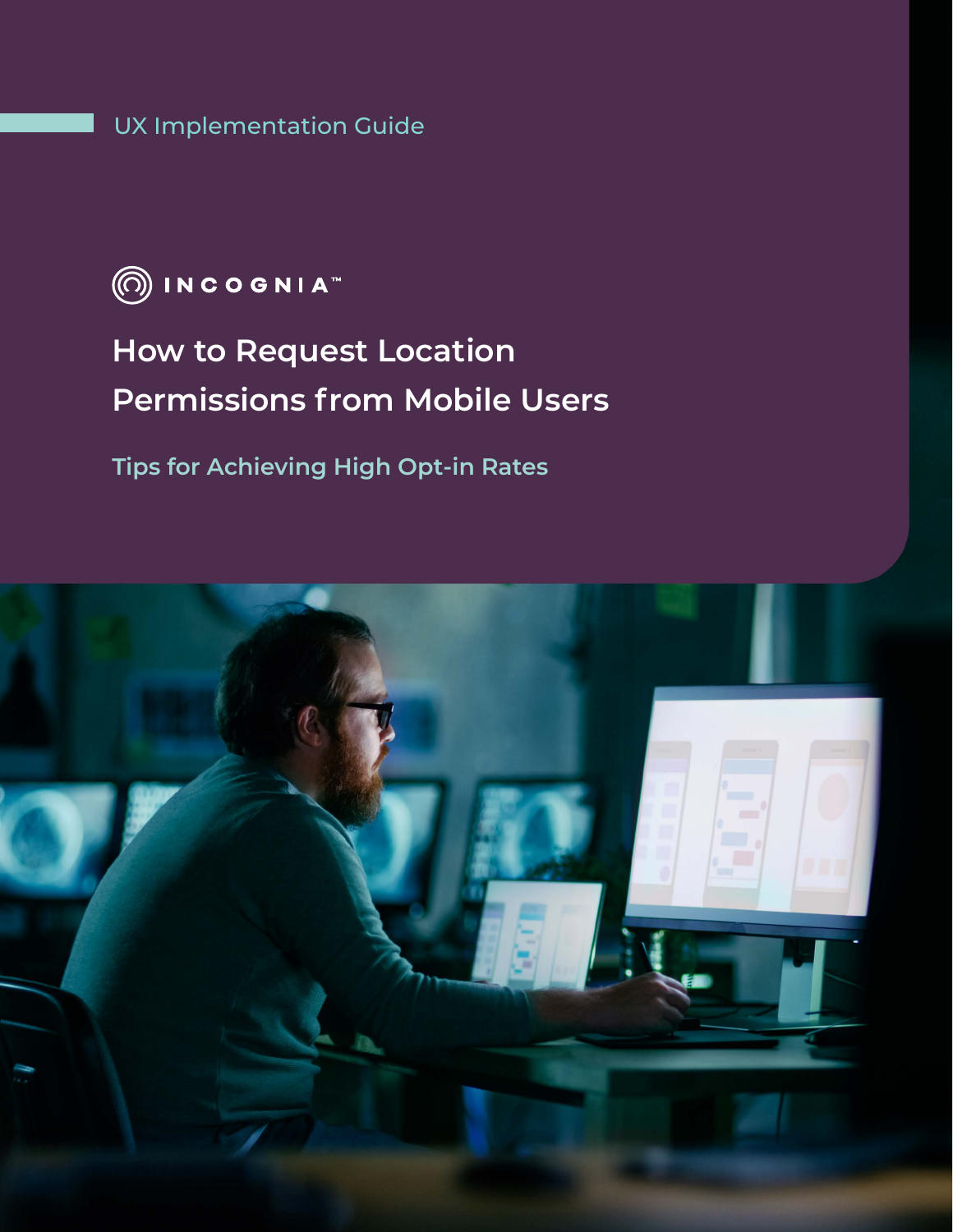UX Implementation Guide



# **How to Request Location Permissions from Mobile Users**

**Tips for Achieving High Opt-in Rates** 

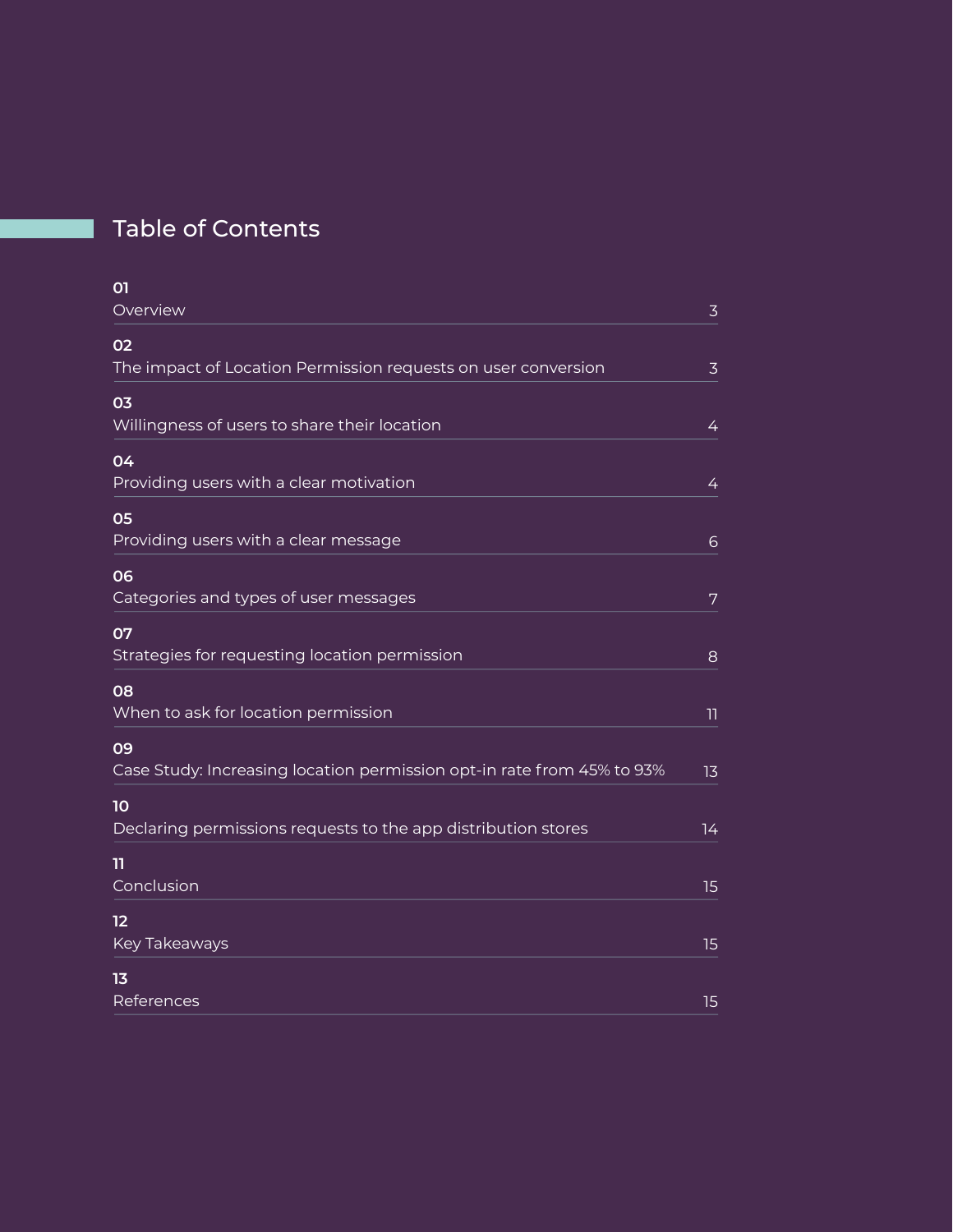## Table of Contents

| 01<br>Overview                                                               | $\overline{3}$ |
|------------------------------------------------------------------------------|----------------|
| 02<br>The impact of Location Permission requests on user conversion          | $\overline{3}$ |
| 03<br>Willingness of users to share their location                           | $\overline{4}$ |
| 04<br>Providing users with a clear motivation                                | 4              |
| 05<br>Providing users with a clear message                                   | 6              |
| 06<br>Categories and types of user messages                                  | 7              |
| 07<br>Strategies for requesting location permission                          | 8              |
| 08<br>When to ask for location permission                                    | 11             |
| 09<br>Case Study: Increasing location permission opt-in rate from 45% to 93% | 13             |
| 10<br>Declaring permissions requests to the app distribution stores          | 14             |
| 11<br>Conclusion                                                             | 15             |
| 12<br>Key Takeaways                                                          | 15             |
| 1 <sub>3</sub><br>References                                                 | 15             |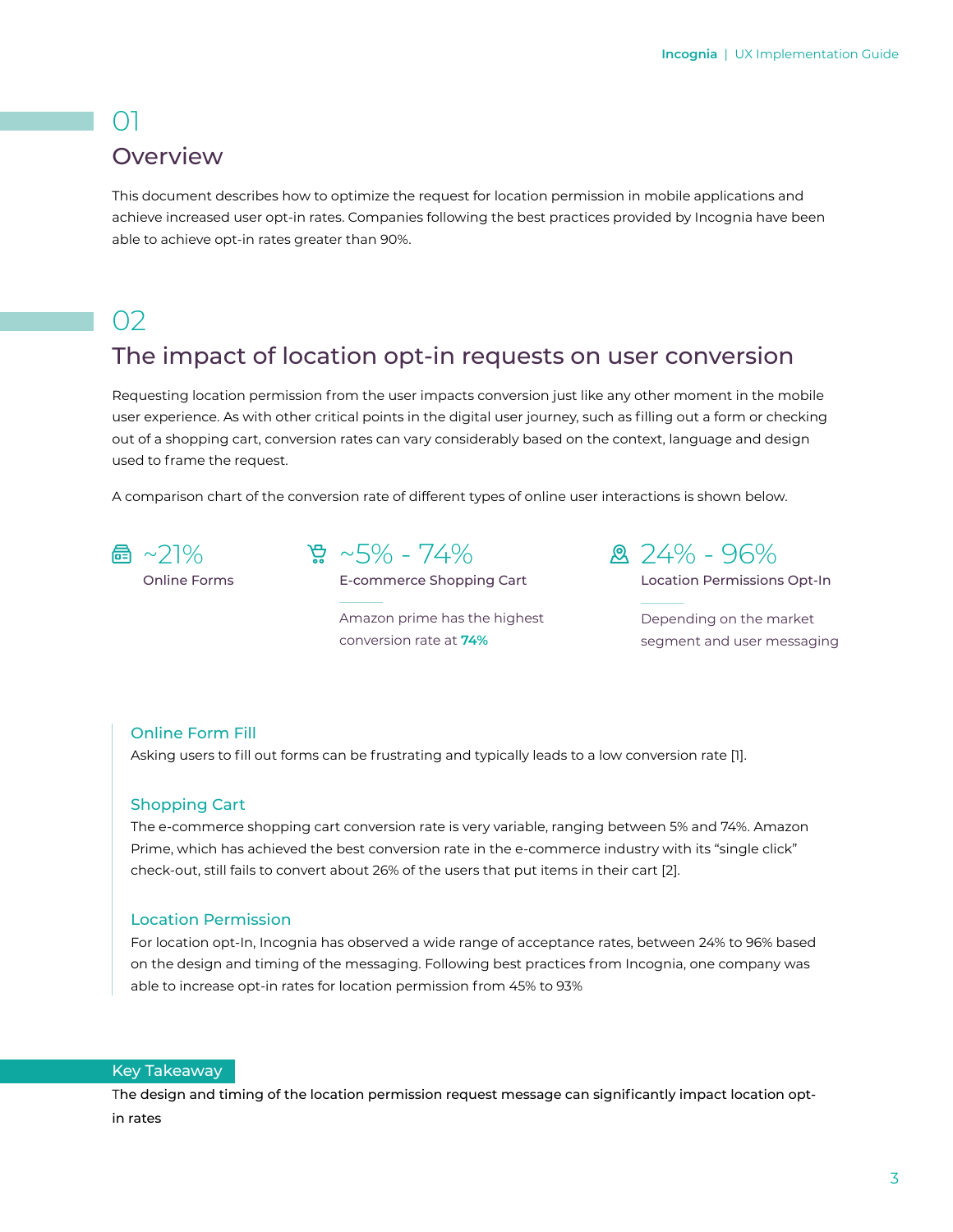## $()$ **Overview**

This document describes how to optimize the request for location permission in mobile applications and achieve increased user opt-in rates. Companies following the best practices provided by Incognia have been able to achieve opt-in rates greater than 90%.

## $O<sub>2</sub>$

## The impact of location opt-in requests on user conversion

Requesting location permission from the user impacts conversion just like any other moment in the mobile user experience. As with other critical points in the digital user journey, such as filling out a form or checking out of a shopping cart, conversion rates can vary considerably based on the context, language and design used to frame the request.

A comparison chart of the conversion rate of different types of online user interactions is shown below.



Online Forms

 $\frac{6}{28}$  ~5% - 74%

E-commerce Shopping Cart

Amazon prime has the highest conversion rate at **74%**

 $24\% - 96\%$ 

Location Permissions Opt-In

Depending on the market segment and user messaging

#### Online Form Fill

Asking users to fill out forms can be frustrating and typically leads to a low conversion rate [1].

#### Shopping Cart

The e-commerce shopping cart conversion rate is very variable, ranging between 5% and 74%. Amazon Prime, which has achieved the best conversion rate in the e-commerce industry with its "single click" check-out, still fails to convert about 26% of the users that put items in their cart [2].

#### Location Permission

For location opt-In, Incognia has observed a wide range of acceptance rates, between 24% to 96% based on the design and timing of the messaging. Following best practices from Incognia, one company was able to increase opt-in rates for location permission from 45% to 93%

#### Key Takeaway

The design and timing of the location permission request message can significantly impact location optin rates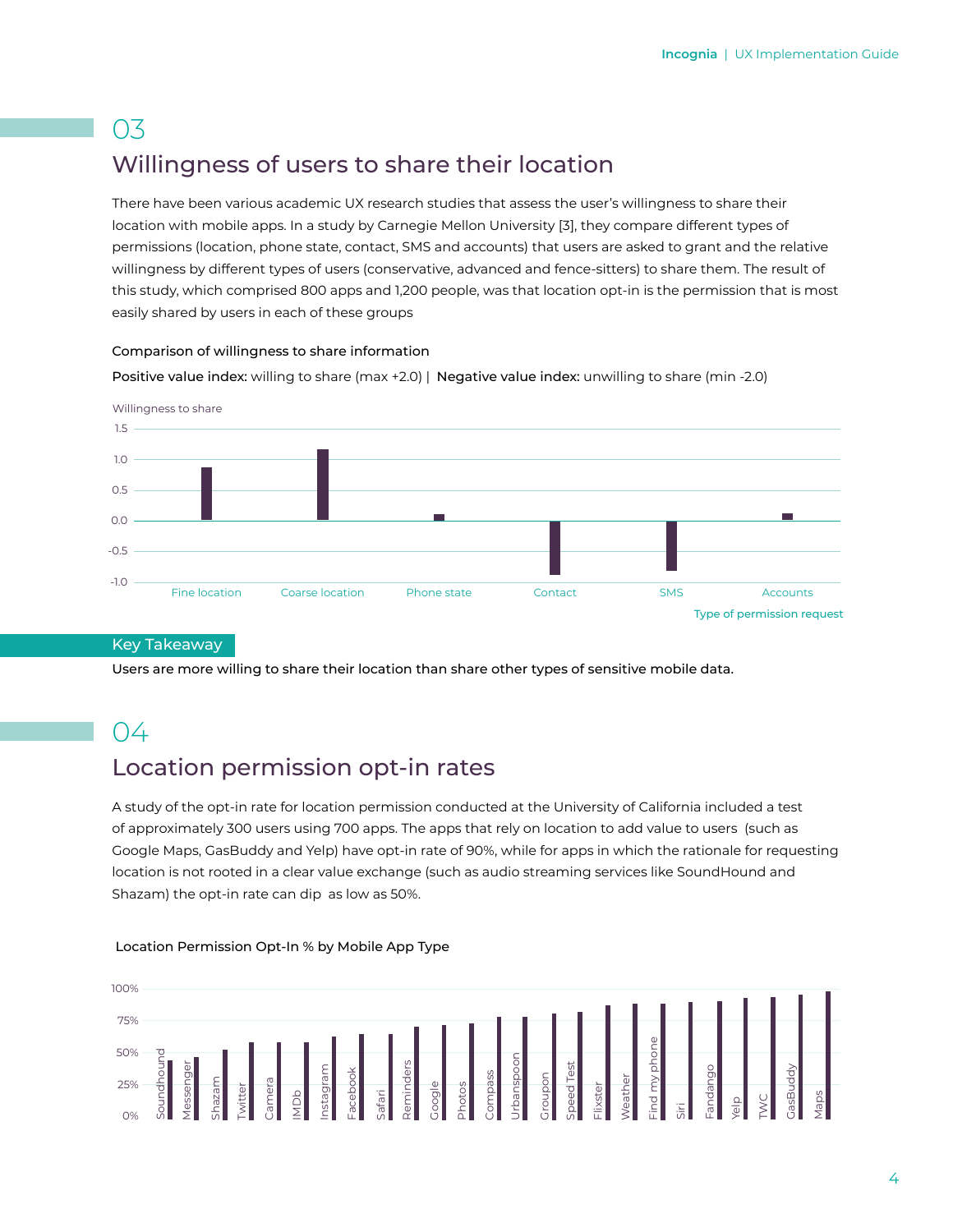## Willingness of users to share their location

There have been various academic UX research studies that assess the user's willingness to share their location with mobile apps. In a study by Carnegie Mellon University [3], they compare different types of permissions (location, phone state, contact, SMS and accounts) that users are asked to grant and the relative willingness by different types of users (conservative, advanced and fence-sitters) to share them. The result of this study, which comprised 800 apps and 1,200 people, was that location opt-in is the permission that is most easily shared by users in each of these groups

#### Comparison of willingness to share information

Positive value index: willing to share (max +2.0) | Negative value index: unwilling to share (min -2.0)



#### Key Takeaway

Users are more willing to share their location than share other types of sensitive mobile data.

## 04

## Location permission opt-in rates

A study of the opt-in rate for location permission conducted at the University of California included a test of approximately 300 users using 700 apps. The apps that rely on location to add value to users (such as Google Maps, GasBuddy and Yelp) have opt-in rate of 90%, while for apps in which the rationale for requesting location is not rooted in a clear value exchange (such as audio streaming services like SoundHound and Shazam) the opt-in rate can dip as low as 50%.



#### Location Permission Opt-In % by Mobile App Type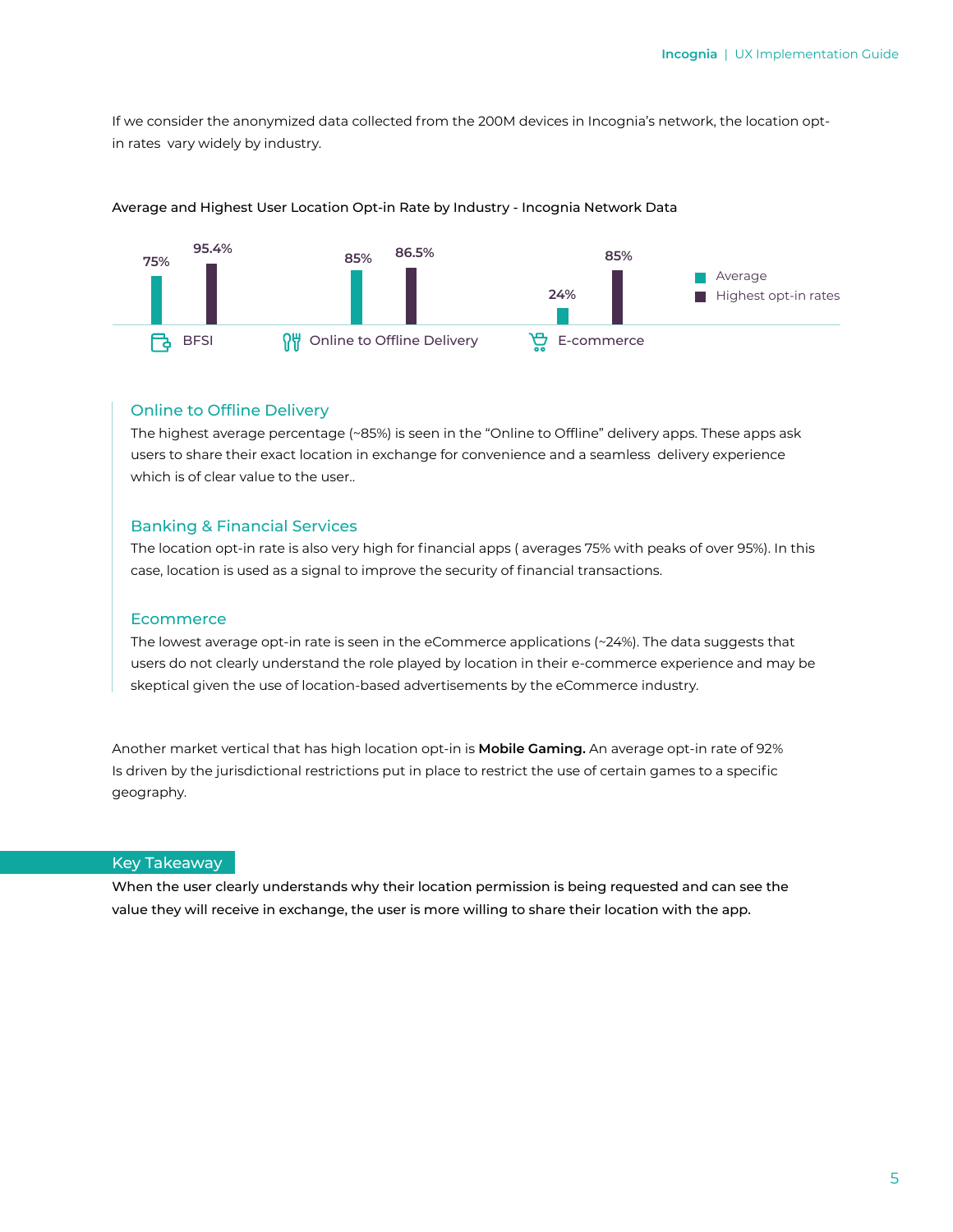If we consider the anonymized data collected from the 200M devices in Incognia's network, the location optin rates vary widely by industry.



#### Average and Highest User Location Opt-in Rate by Industry - Incognia Network Data

#### Online to Offline Delivery

The highest average percentage (~85%) is seen in the "Online to Offline" delivery apps. These apps ask users to share their exact location in exchange for convenience and a seamless delivery experience which is of clear value to the user..

#### Banking & Financial Services

The location opt-in rate is also very high for financial apps ( averages 75% with peaks of over 95%). In this case, location is used as a signal to improve the security of financial transactions.

#### **Ecommerce**

The lowest average opt-in rate is seen in the eCommerce applications (~24%). The data suggests that users do not clearly understand the role played by location in their e-commerce experience and may be skeptical given the use of location-based advertisements by the eCommerce industry.

Another market vertical that has high location opt-in is **Mobile Gaming.** An average opt-in rate of 92% Is driven by the jurisdictional restrictions put in place to restrict the use of certain games to a specific geography.

#### Key Takeaway

When the user clearly understands why their location permission is being requested and can see the value they will receive in exchange, the user is more willing to share their location with the app.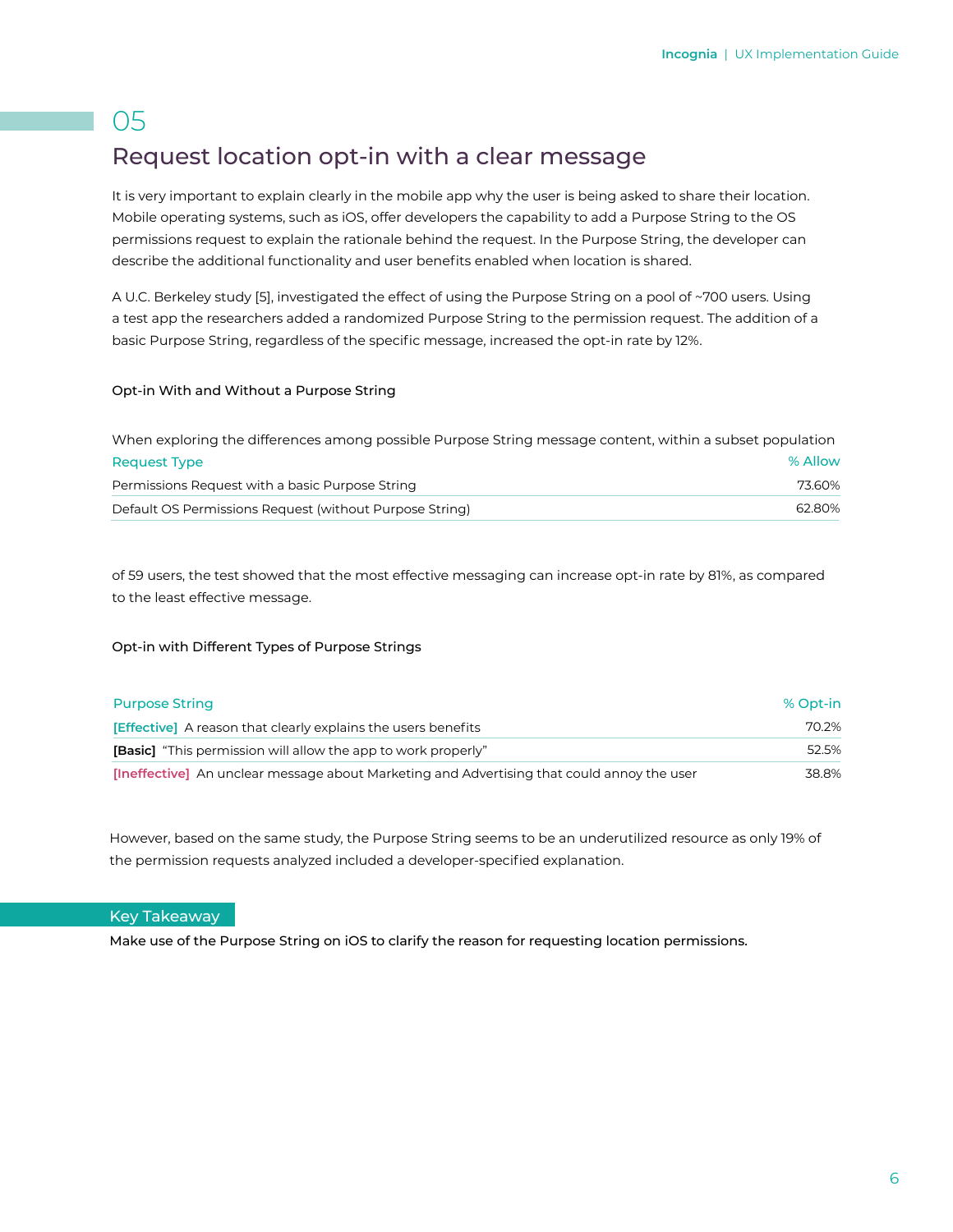## Request location opt-in with a clear message

It is very important to explain clearly in the mobile app why the user is being asked to share their location. Mobile operating systems, such as iOS, offer developers the capability to add a Purpose String to the OS permissions request to explain the rationale behind the request. In the Purpose String, the developer can describe the additional functionality and user benefits enabled when location is shared.

A U.C. Berkeley study [5], investigated the effect of using the Purpose String on a pool of ~700 users. Using a test app the researchers added a randomized Purpose String to the permission request. The addition of a basic Purpose String, regardless of the specific message, increased the opt-in rate by 12%.

#### Opt-in With and Without a Purpose String

| When exploring the differences among possible Purpose String message content, within a subset population |         |  |
|----------------------------------------------------------------------------------------------------------|---------|--|
| <b>Request Type</b>                                                                                      | % Allow |  |
| Permissions Request with a basic Purpose String                                                          | 73.60%  |  |
| Default OS Permissions Request (without Purpose String)                                                  | 62.80%  |  |

of 59 users, the test showed that the most effective messaging can increase opt-in rate by 81%, as compared to the least effective message.

#### Opt-in with Different Types of Purpose Strings

| <b>Purpose String</b>                                                                             | % Opt-in |
|---------------------------------------------------------------------------------------------------|----------|
| <b>[Effective]</b> A reason that clearly explains the users benefits                              | 70.2%    |
| <b>[Basic]</b> "This permission will allow the app to work properly"                              | 52.5%    |
| <b>[Ineffective]</b> An unclear message about Marketing and Advertising that could annoy the user | 38.8%    |

However, based on the same study, the Purpose String seems to be an underutilized resource as only 19% of the permission requests analyzed included a developer-specified explanation.

#### Key Takeaway

Make use of the Purpose String on iOS to clarify the reason for requesting location permissions.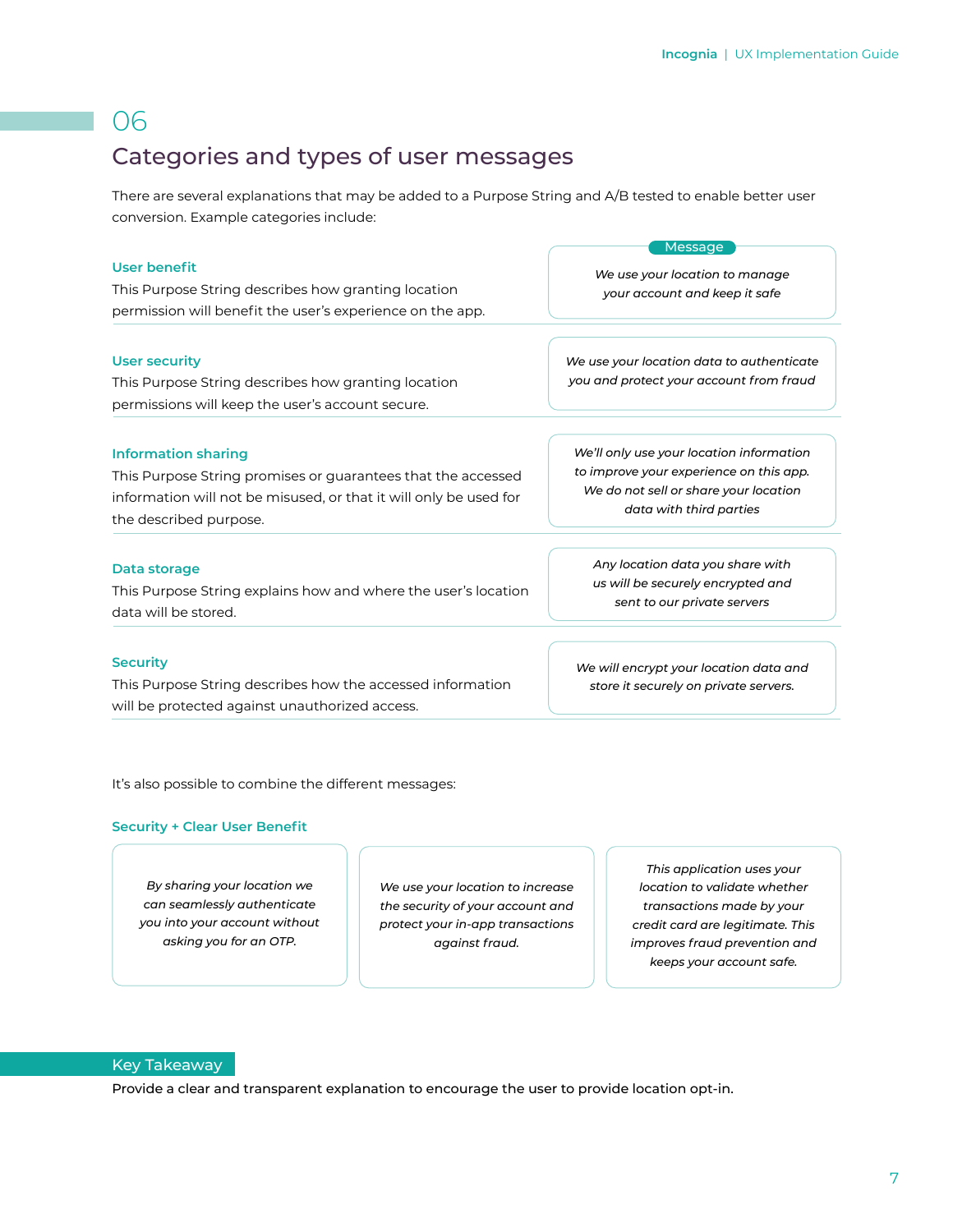## Categories and types of user messages

There are several explanations that may be added to a Purpose String and A/B tested to enable better user conversion. Example categories include:

| User benefit                                                                                                                    | <b>Message</b>                                                                       |
|---------------------------------------------------------------------------------------------------------------------------------|--------------------------------------------------------------------------------------|
| This Purpose String describes how granting location                                                                             | We use your location to manage                                                       |
| permission will benefit the user's experience on the app.                                                                       | your account and keep it safe                                                        |
| <b>User security</b><br>This Purpose String describes how granting location<br>permissions will keep the user's account secure. | We use your location data to authenticate<br>you and protect your account from fraud |
| <b>Information sharing</b>                                                                                                      | We'll only use your location information                                             |
| This Purpose String promises or guarantees that the accessed                                                                    | to improve your experience on this app.                                              |
| information will not be misused, or that it will only be used for                                                               | We do not sell or share your location                                                |
| the described purpose.                                                                                                          | data with third parties                                                              |
| Data storage                                                                                                                    | Any location data you share with                                                     |
| This Purpose String explains how and where the user's location                                                                  | us will be securely encrypted and                                                    |
| data will be stored.                                                                                                            | sent to our private servers                                                          |
| <b>Security</b><br>This Purpose String describes how the accessed information<br>will be protected against unauthorized access. | We will encrypt your location data and<br>store it securely on private servers.      |

It's also possible to combine the different messages:

#### **Security + Clear User Benefit**

*By sharing your location we can seamlessly authenticate you into your account without asking you for an OTP.*

*We use your location to increase the security of your account and protect your in-app transactions against fraud.*

*This application uses your location to validate whether transactions made by your credit card are legitimate. This improves fraud prevention and keeps your account safe.*

#### Key Takeaway

Provide a clear and transparent explanation to encourage the user to provide location opt-in.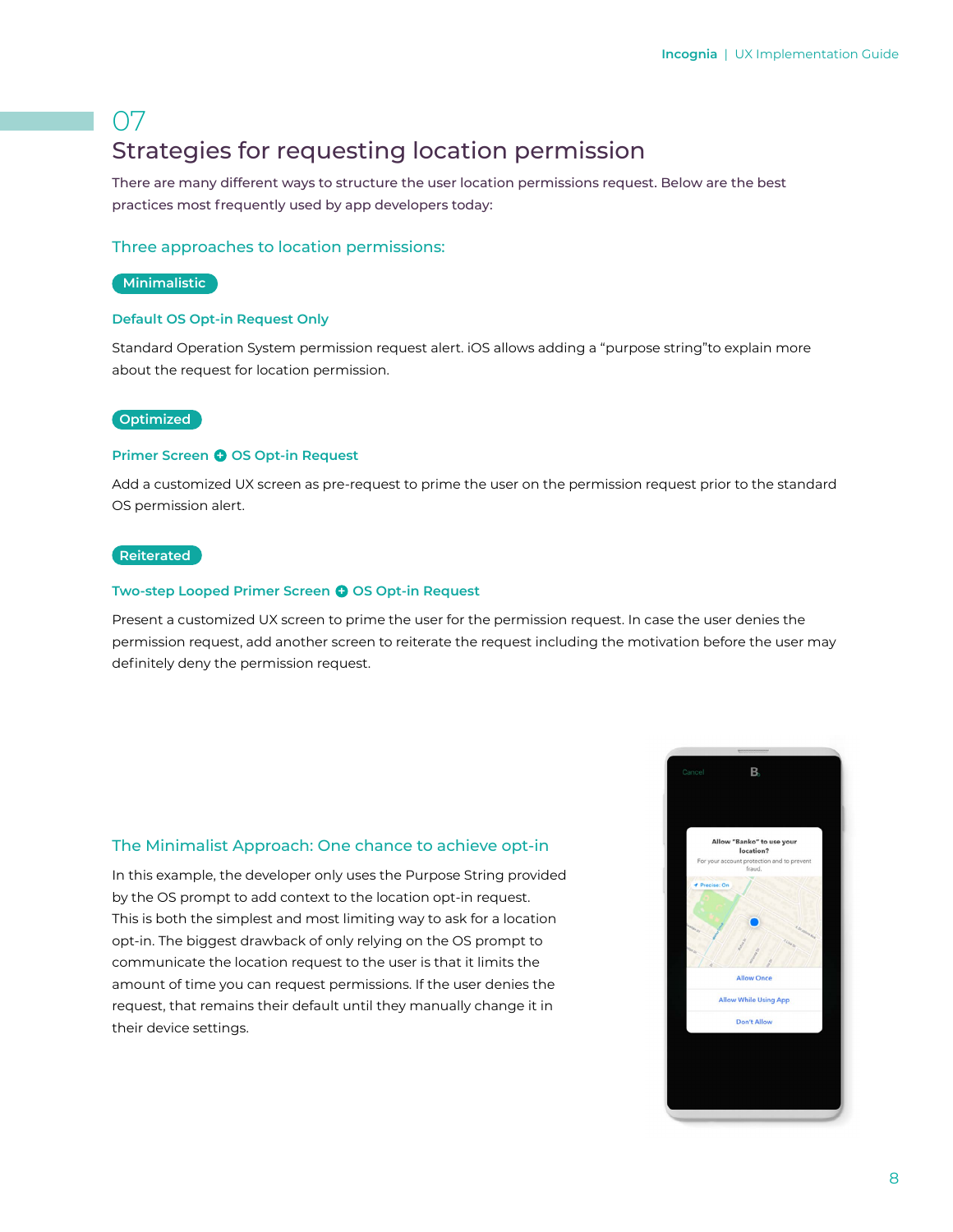## 07 Strategies for requesting location permission

There are many different ways to structure the user location permissions request. Below are the best practices most frequently used by app developers today:

#### Three approaches to location permissions:

#### **Minimalistic**

#### **Default OS Opt-in Request Only**

Standard Operation System permission request alert. iOS allows adding a "purpose string"to explain more about the request for location permission.

#### **Optimized**

#### **Primer Screen @ OS Opt-in Request**

Add a customized UX screen as pre-request to prime the user on the permission request prior to the standard OS permission alert.

#### **Reiterated**

#### **Two-step Looped Primer Screen @ OS Opt-in Request**

Present a customized UX screen to prime the user for the permission request. In case the user denies the permission request, add another screen to reiterate the request including the motivation before the user may definitely deny the permission request.

#### The Minimalist Approach: One chance to achieve opt-in

In this example, the developer only uses the Purpose String provided by the OS prompt to add context to the location opt-in request. This is both the simplest and most limiting way to ask for a location opt-in. The biggest drawback of only relying on the OS prompt to communicate the location request to the user is that it limits the amount of time you can request permissions. If the user denies the request, that remains their default until they manually change it in their device settings.

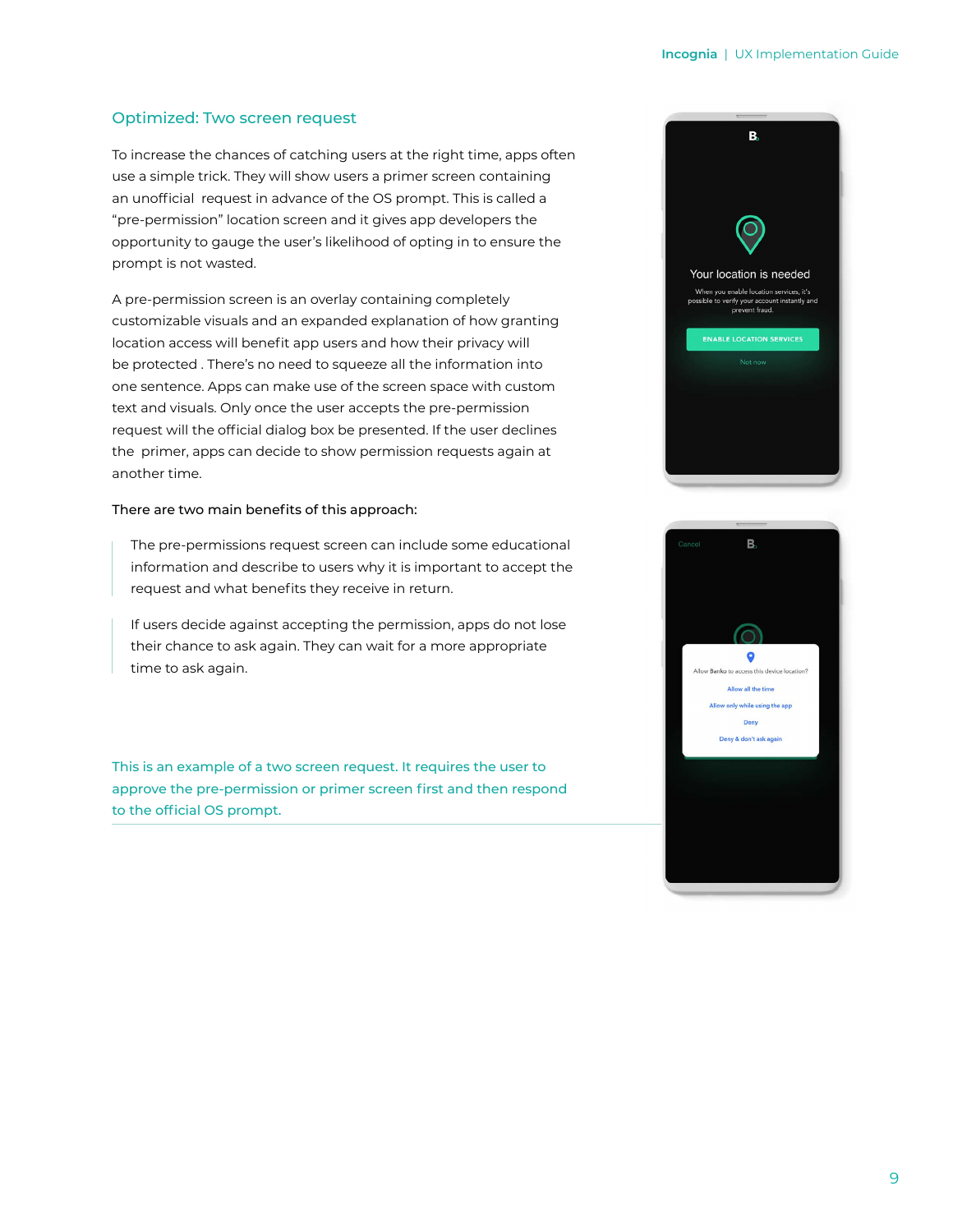#### Optimized: Two screen request

To increase the chances of catching users at the right time, apps often use a simple trick. They will show users a primer screen containing an unofficial request in advance of the OS prompt. This is called a "pre-permission" location screen and it gives app developers the opportunity to gauge the user's likelihood of opting in to ensure the prompt is not wasted.

A pre-permission screen is an overlay containing completely customizable visuals and an expanded explanation of how granting location access will benefit app users and how their privacy will be protected . There's no need to squeeze all the information into one sentence. Apps can make use of the screen space with custom text and visuals. Only once the user accepts the pre-permission request will the official dialog box be presented. If the user declines the primer, apps can decide to show permission requests again at another time.

#### There are two main benefits of this approach:

The pre-permissions request screen can include some educational information and describe to users why it is important to accept the request and what benefits they receive in return.

If users decide against accepting the permission, apps do not lose their chance to ask again. They can wait for a more appropriate time to ask again.

This is an example of a two screen request. It requires the user to approve the pre-permission or primer screen first and then respond to the official OS prompt.



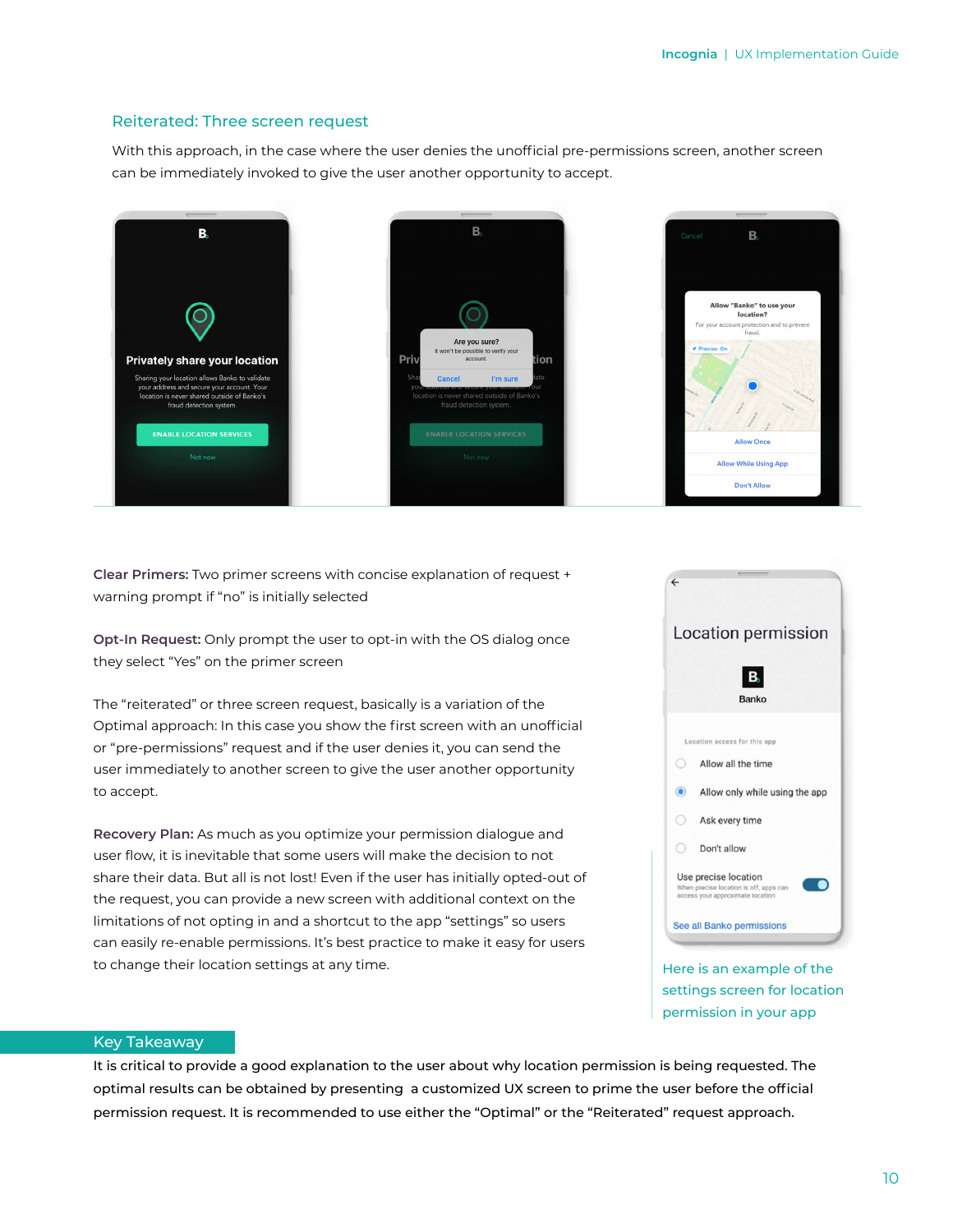#### Reiterated: Three screen request

With this approach, in the case where the user denies the unofficial pre-permissions screen, another screen can be immediately invoked to give the user another opportunity to accept.



**Clear Primers:** Two primer screens with concise explanation of request + warning prompt if "no" is initially selected

**Opt-In Request:** Only prompt the user to opt-in with the OS dialog once they select "Yes" on the primer screen

The "reiterated" or three screen request, basically is a variation of the Optimal approach: In this case you show the first screen with an unofficial or "pre-permissions" request and if the user denies it, you can send the user immediately to another screen to give the user another opportunity to accept.

**Recovery Plan:** As much as you optimize your permission dialogue and user flow, it is inevitable that some users will make the decision to not share their data. But all is not lost! Even if the user has initially opted-out of the request, you can provide a new screen with additional context on the limitations of not opting in and a shortcut to the app "settings" so users can easily re-enable permissions. It's best practice to make it easy for users to change their location settings at any time.



Here is an example of the settings screen for location permission in your app

#### Key Takeaway

It is critical to provide a good explanation to the user about why location permission is being requested. The optimal results can be obtained by presenting a customized UX screen to prime the user before the official permission request. It is recommended to use either the "Optimal" or the "Reiterated" request approach.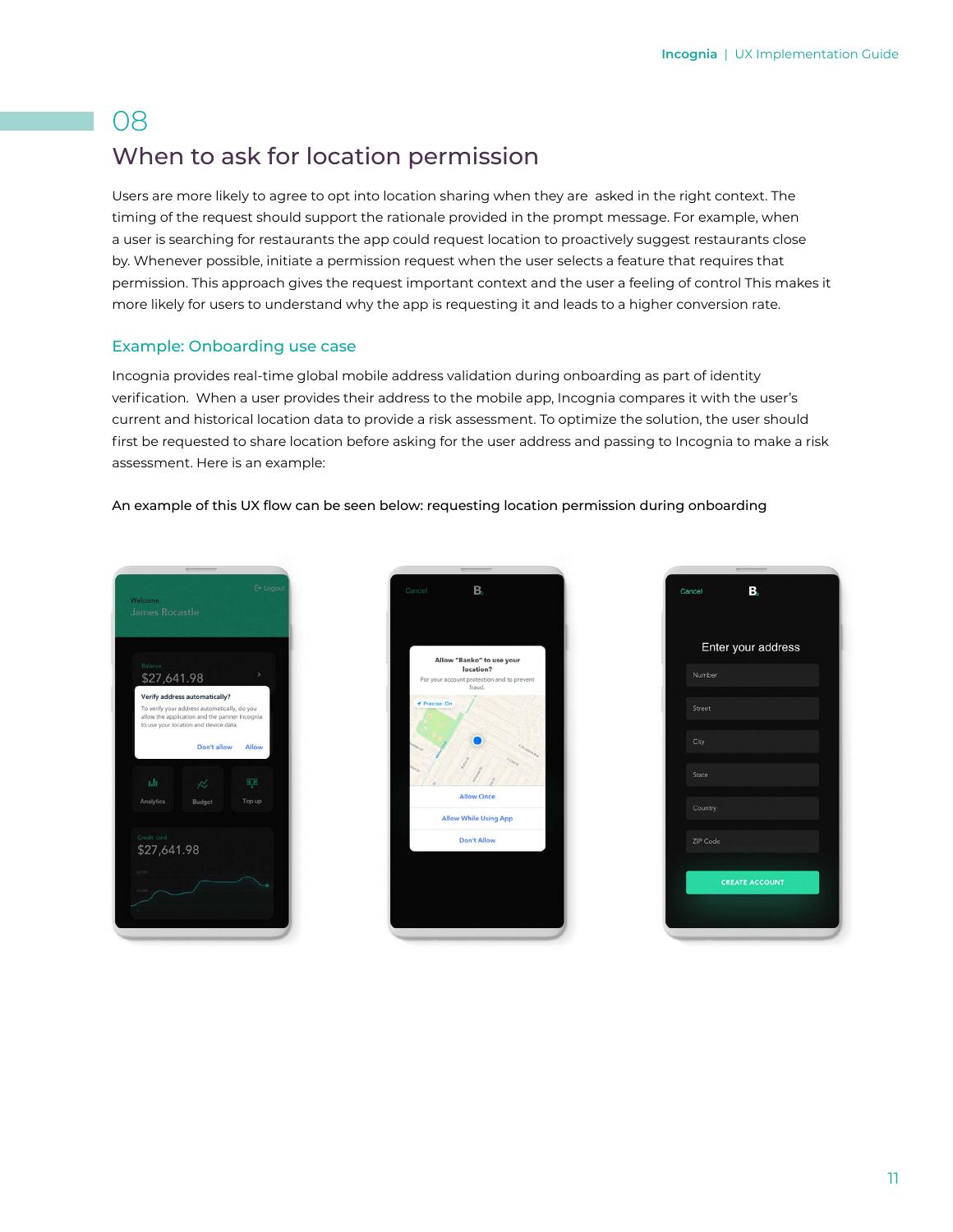## 08 When to ask for location permission

Users are more likely to agree to opt into location sharing when they are asked in the right context. The timing of the request should support the rationale provided in the prompt message. For example, when a user is searching for restaurants the app could request location to proactively suggest restaurants close by. Whenever possible, initiate a permission request when the user selects a feature that requires that permission. This approach gives the request important context and the user a feeling of control This makes it more likely for users to understand why the app is requesting it and leads to a higher conversion rate.

#### Example: Onboarding use case

Incognia provides real-time global mobile address validation during onboarding as part of identity verification. When a user provides their address to the mobile app, Incognia compares it with the user's current and historical location data to provide a risk assessment. To optimize the solution, the user should first be requested to share location before asking for the user address and passing to Incognia to make a risk assessment. Here is an example:

#### An example of this UX flow can be seen below: requesting location permission during onboarding





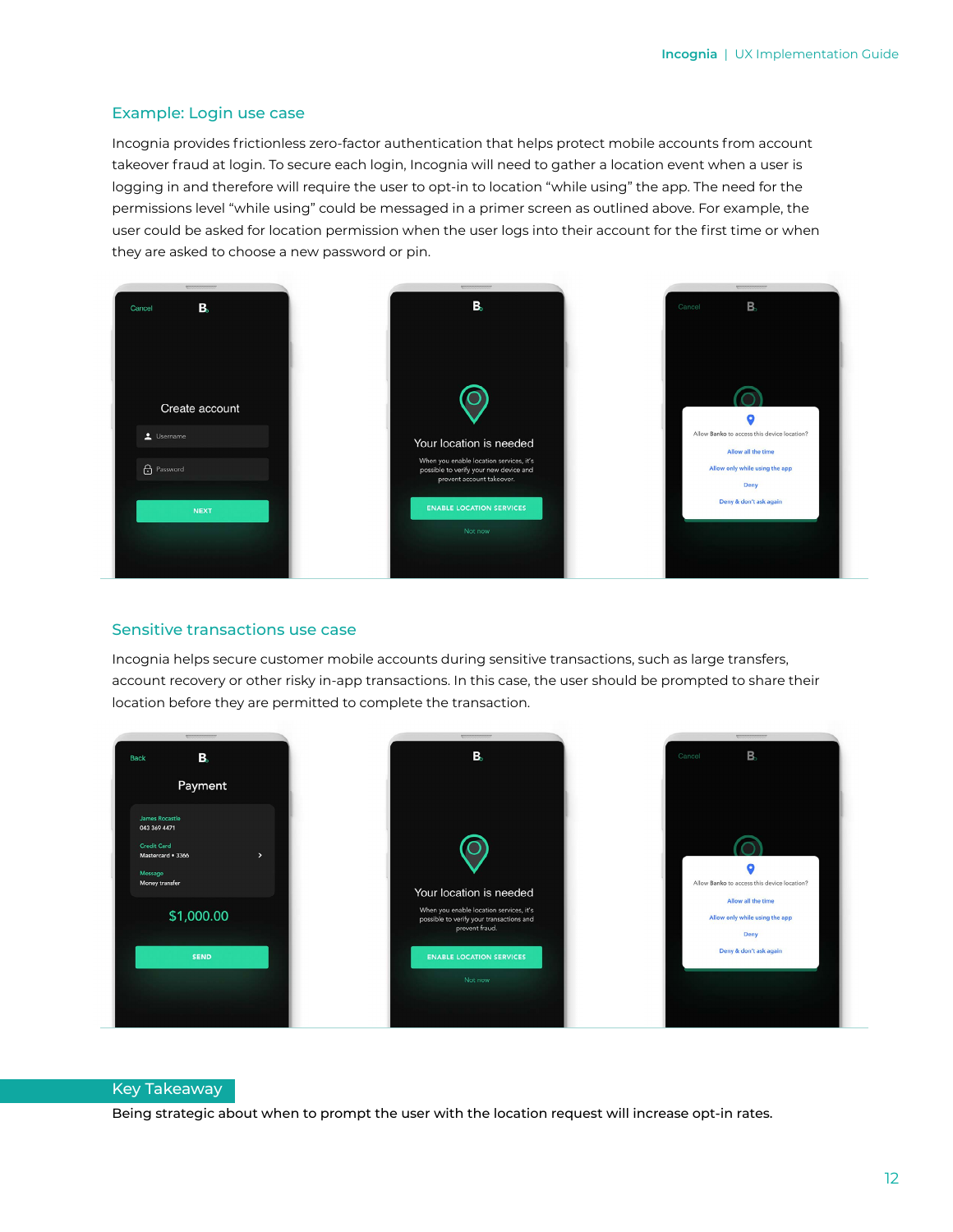#### Example: Login use case

Incognia provides frictionless zero-factor authentication that helps protect mobile accounts from account takeover fraud at login. To secure each login, Incognia will need to gather a location event when a user is logging in and therefore will require the user to opt-in to location "while using" the app. The need for the permissions level "while using" could be messaged in a primer screen as outlined above. For example, the user could be asked for location permission when the user logs into their account for the first time or when they are asked to choose a new password or pin.



#### Sensitive transactions use case

Incognia helps secure customer mobile accounts during sensitive transactions, such as large transfers, account recovery or other risky in-app transactions. In this case, the user should be prompted to share their location before they are permitted to complete the transaction.



#### Key Takeaway

Being strategic about when to prompt the user with the location request will increase opt-in rates.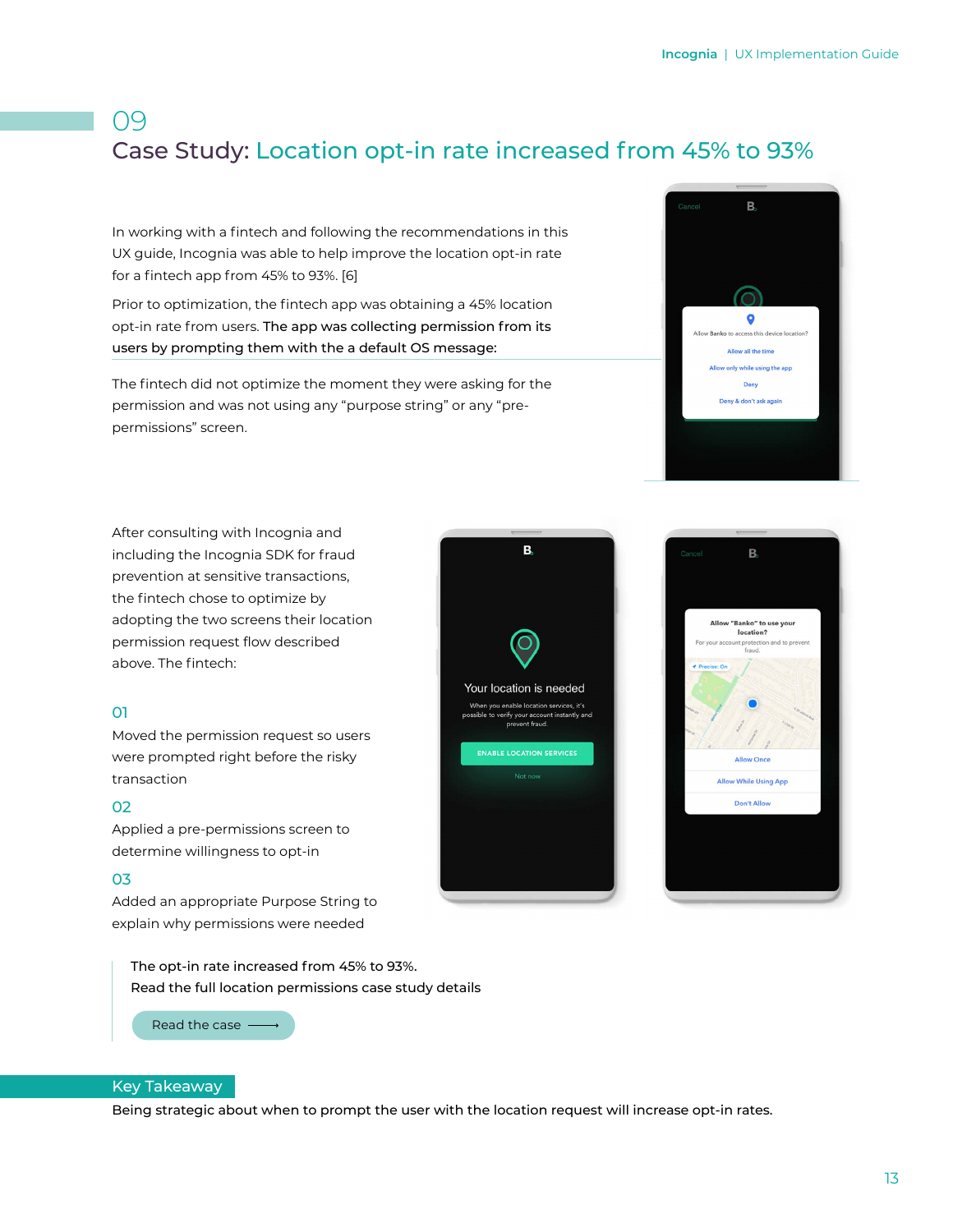## 09 Case Study: Location opt-in rate increased from 45% to 93%

In working with a fintech and following the recommendations in this UX guide, Incognia was able to help improve the location opt-in rate for a fintech app from 45% to 93%. [6]

Prior to optimization, the fintech app was obtaining a 45% location opt-in rate from users. The app was collecting permission from its users by prompting them with the a default OS message:

The fintech did not optimize the moment they were asking for the permission and was not using any "purpose string" or any "prepermissions" screen.



After consulting with Incognia and including the Incognia SDK for fraud prevention at sensitive transactions, the fintech chose to optimize by adopting the two screens their location permission request flow described above. The fintech:

#### 01

Moved the permission request so users were prompted right before the risky transaction

#### 02

Applied a pre-permissions screen to determine willingness to opt-in

#### 03

Added an appropriate Purpose String to explain why permissions were needed

The opt-in rate increased from 45% to 93%. Read the full location permissions case study details

[Read the case](https://www.incognia.com/resources/download-retail-financial-services-case-study-location-permissions?hsLang=en)  $-$ 

# B, Your location is needed you enable location services, it's verify your account instantly and<br>prevent fraud. **ENABLE LOCATION SERVICES**



#### Key Takeaway

Being strategic about when to prompt the user with the location request will increase opt-in rates.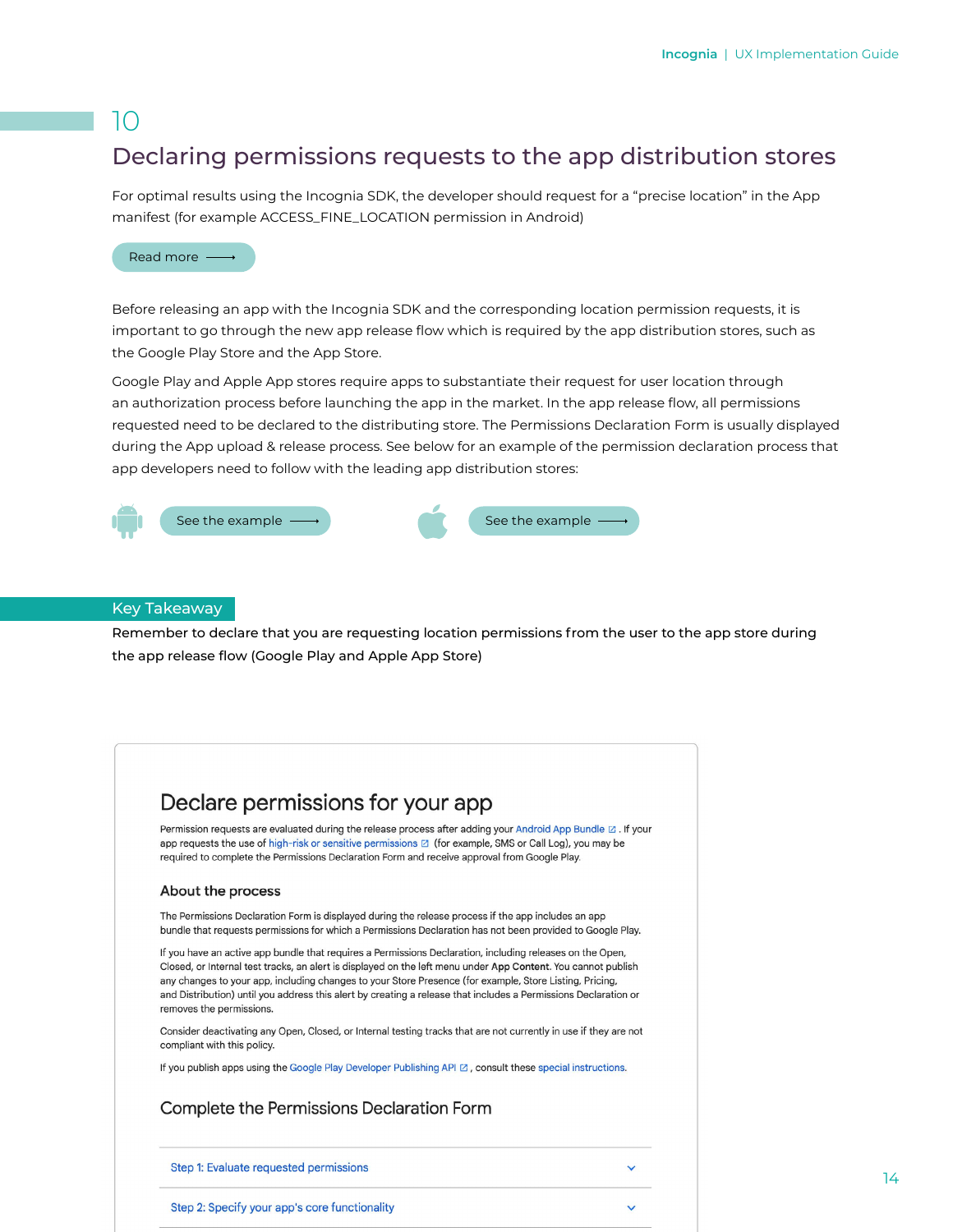## Declaring permissions requests to the app distribution stores

For optimal results using the Incognia SDK, the developer should request for a "precise location" in the App manifest (for example ACCESS\_FINE\_LOCATION permission in Android)



Before releasing an app with the Incognia SDK and the corresponding location permission requests, it is important to go through the new app release flow which is required by the app distribution stores, such as the Google Play Store and the App Store.

Google Play and Apple App stores require apps to substantiate their request for user location through an authorization process before launching the app in the market. In the app release flow, all permissions requested need to be declared to the distributing store. The Permissions Declaration Form is usually displayed during the App upload & release process. See below for an example of the permission declaration process that app developers need to follow with the leading app distribution stores:



#### Key Takeaway

Remember to declare that you are requesting location permissions from the user to the app store during the app release flow (Google Play and Apple App Store)

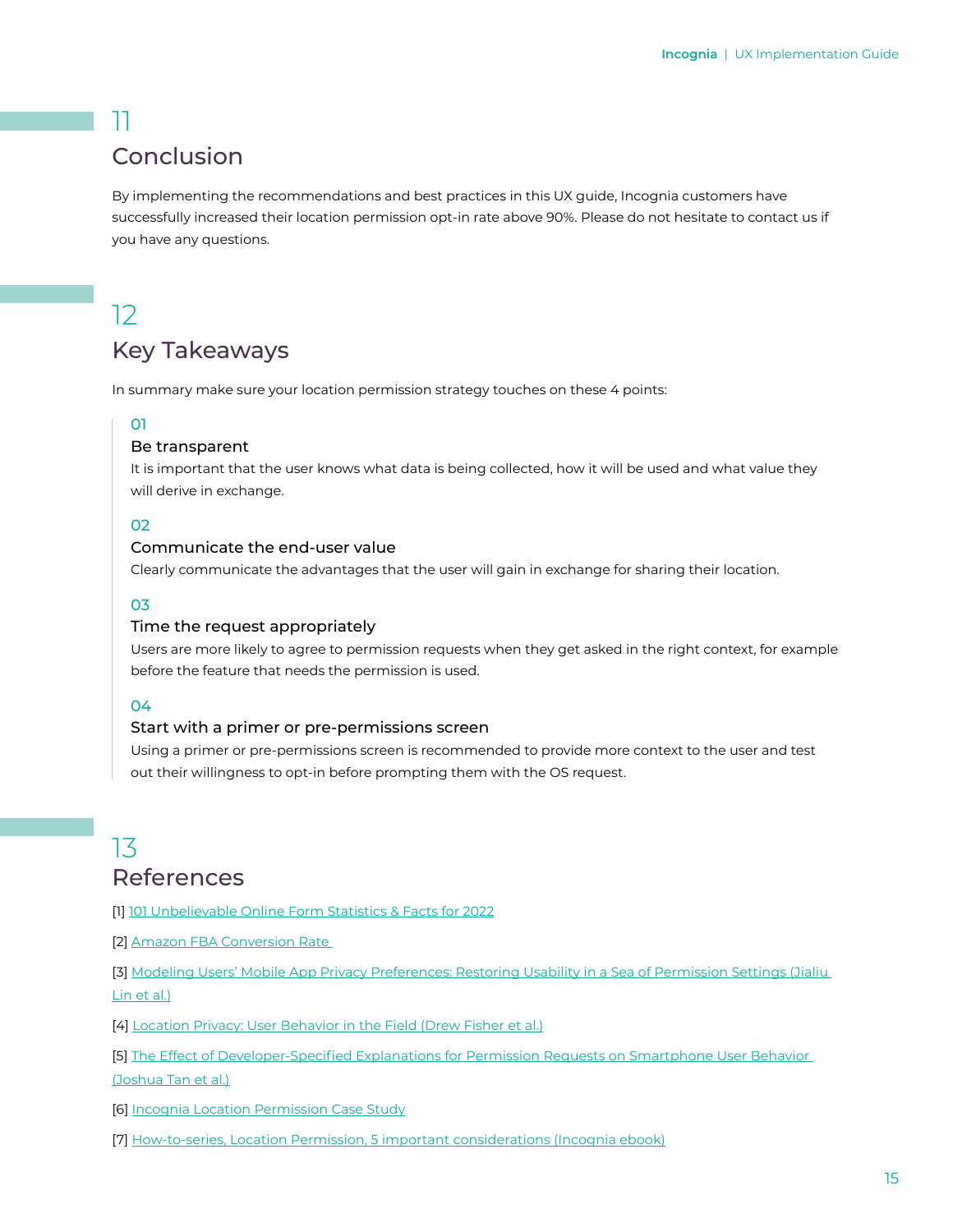## Conclusion

By implementing the recommendations and best practices in this UX guide, Incognia customers have successfully increased their location permission opt-in rate above 90%. Please do not hesitate to contact us if you have any questions.

# 12

## Key Takeaways

In summary make sure your location permission strategy touches on these 4 points:

#### 01

#### Be transparent

It is important that the user knows what data is being collected, how it will be used and what value they will derive in exchange.

#### 02

#### Communicate the end-user value

Clearly communicate the advantages that the user will gain in exchange for sharing their location.

#### 03

#### Time the request appropriately

Users are more likely to agree to permission requests when they get asked in the right context, for example before the feature that needs the permission is used.

#### 04

#### Start with a primer or pre-permissions screen

Using a primer or pre-permissions screen is recommended to provide more context to the user and test out their willingness to opt-in before prompting them with the OS request.

## 13 References

[1] [101 Unbelievable Online Form Statistics & Facts for 2022](https://wpforms.com/online-form-statistics-facts/)

[2] [Amazon FBA Conversion Rate](https://www.forumbrands.com/blog/amazon-conversion-rate/#:~:text=According%20to%20a%20study%20conducted,average%20conversion%20rate%20is%206%25)

[3] [Modeling Users' Mobile App Privacy Preferences: Restoring Usability in a Sea of Permission Settings \(Jialiu](https://www.usenix.org/system/files/conference/soups2014/soups14-paper-lin.pdf)  [Lin et al.\)](https://www.usenix.org/system/files/conference/soups2014/soups14-paper-lin.pdf)

[4] [Location Privacy: User Behavior in the Field \(Drew Fisher et al.\)](https://people.eecs.berkeley.edu/~daw/papers/location-spsm12.pdf)

[5] [The Effect of Developer-Specified Explanations for Permission Requests on Smartphone User Behavior](https://blues.cs.berkeley.edu/wp-content/uploads/2014/07/p91-tan.pdf)  [\(Joshua Tan et al.\)](https://blues.cs.berkeley.edu/wp-content/uploads/2014/07/p91-tan.pdf)

[6] [Incognia Location Permission Case Study](https://www.incognia.com/resources/download-retail-financial-services-case-study-location-permissions?hsLang=en)

[7] [How-to-series, Location Permission, 5 important considerations \(Incognia ebook\)](https://www.incognia.com/hubfs/US/Whitepapers%20and%20eBooks/How%20to%20series_Location%20permission_V7.pdf?hsLang=en)